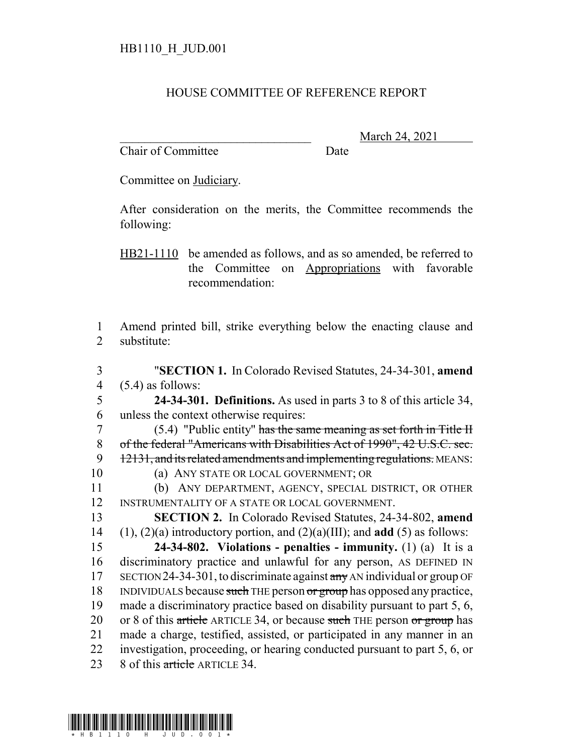## HOUSE COMMITTEE OF REFERENCE REPORT

Chair of Committee Date

March 24, 2021

Committee on Judiciary.

After consideration on the merits, the Committee recommends the following:

HB21-1110 be amended as follows, and as so amended, be referred to the Committee on Appropriations with favorable recommendation:

1 Amend printed bill, strike everything below the enacting clause and 2 substitute:

3 "**SECTION 1.** In Colorado Revised Statutes, 24-34-301, **amend** 4  $(5.4)$  as follows:

5 **24-34-301. Definitions.** As used in parts 3 to 8 of this article 34, 6 unless the context otherwise requires:

 (5.4) "Public entity" has the same meaning as set forth in Title II of the federal "Americans with Disabilities Act of 1990", 42 U.S.C. sec. 9 12131, and its related amendments and implementing regulations. MEANS: (a) ANY STATE OR LOCAL GOVERNMENT; OR

11 (b) ANY DEPARTMENT, AGENCY, SPECIAL DISTRICT, OR OTHER 12 INSTRUMENTALITY OF A STATE OR LOCAL GOVERNMENT.

13 **SECTION 2.** In Colorado Revised Statutes, 24-34-802, **amend** 14 (1), (2)(a) introductory portion, and (2)(a)(III); and **add** (5) as follows:

15 **24-34-802. Violations - penalties - immunity.** (1) (a) It is a 16 discriminatory practice and unlawful for any person, AS DEFINED IN 17 SECTION 24-34-301, to discriminate against  $\frac{1}{2}$  AN individual or group OF 18 INDIVIDUALS because such THE person or group has opposed any practice, 19 made a discriminatory practice based on disability pursuant to part 5, 6, 20 or 8 of this article ARTICLE 34, or because such THE person or group has 21 made a charge, testified, assisted, or participated in any manner in an 22 investigation, proceeding, or hearing conducted pursuant to part 5, 6, or 23 8 of this article ARTICLE 34.

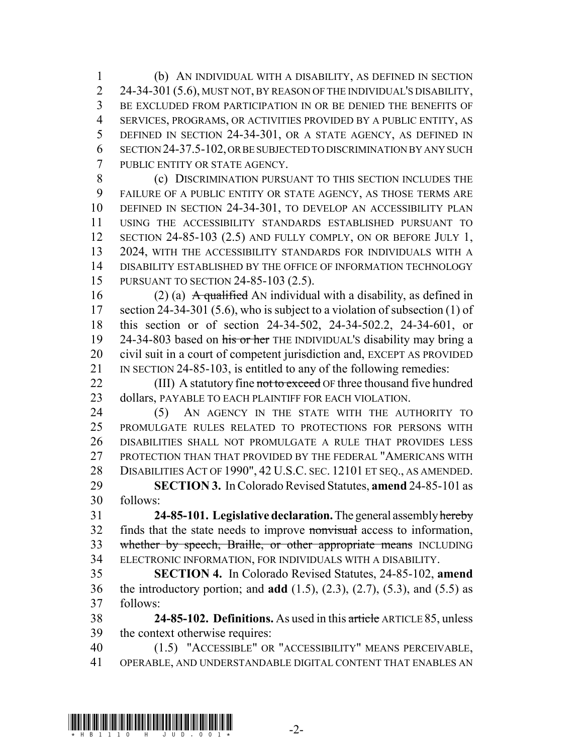(b) AN INDIVIDUAL WITH A DISABILITY, AS DEFINED IN SECTION 2 24-34-301 (5.6), MUST NOT, BY REASON OF THE INDIVIDUAL'S DISABILITY, BE EXCLUDED FROM PARTICIPATION IN OR BE DENIED THE BENEFITS OF SERVICES, PROGRAMS, OR ACTIVITIES PROVIDED BY A PUBLIC ENTITY, AS DEFINED IN SECTION 24-34-301, OR A STATE AGENCY, AS DEFINED IN SECTION 24-37.5-102, OR BE SUBJECTED TO DISCRIMINATION BY ANY SUCH PUBLIC ENTITY OR STATE AGENCY.

 (c) DISCRIMINATION PURSUANT TO THIS SECTION INCLUDES THE FAILURE OF A PUBLIC ENTITY OR STATE AGENCY, AS THOSE TERMS ARE DEFINED IN SECTION 24-34-301, TO DEVELOP AN ACCESSIBILITY PLAN USING THE ACCESSIBILITY STANDARDS ESTABLISHED PURSUANT TO SECTION 24-85-103 (2.5) AND FULLY COMPLY, ON OR BEFORE JULY 1, 2024, WITH THE ACCESSIBILITY STANDARDS FOR INDIVIDUALS WITH A DISABILITY ESTABLISHED BY THE OFFICE OF INFORMATION TECHNOLOGY PURSUANT TO SECTION 24-85-103 (2.5).

16 (2) (a) A qualified AN individual with a disability, as defined in section 24-34-301 (5.6), who is subject to a violation of subsection (1) of this section or of section 24-34-502, 24-34-502.2, 24-34-601, or 19 24-34-803 based on his or her THE INDIVIDUAL's disability may bring a civil suit in a court of competent jurisdiction and, EXCEPT AS PROVIDED IN SECTION 24-85-103, is entitled to any of the following remedies:

22 (III) A statutory fine not to exceed OF three thousand five hundred 23 dollars, PAYABLE TO EACH PLAINTIFF FOR EACH VIOLATION.

24 (5) AN AGENCY IN THE STATE WITH THE AUTHORITY TO PROMULGATE RULES RELATED TO PROTECTIONS FOR PERSONS WITH DISABILITIES SHALL NOT PROMULGATE A RULE THAT PROVIDES LESS PROTECTION THAN THAT PROVIDED BY THE FEDERAL "AMERICANS WITH DISABILITIES ACT OF 1990", 42 U.S.C. SEC. 12101 ET SEQ., AS AMENDED. **SECTION 3.** In Colorado Revised Statutes, **amend** 24-85-101 as follows:

 **24-85-101. Legislative declaration.** The general assembly hereby finds that the state needs to improve nonvisual access to information, 33 whether by speech, Braille, or other appropriate means INCLUDING ELECTRONIC INFORMATION, FOR INDIVIDUALS WITH A DISABILITY.

 **SECTION 4.** In Colorado Revised Statutes, 24-85-102, **amend** the introductory portion; and **add** (1.5), (2.3), (2.7), (5.3), and (5.5) as follows:

 **24-85-102. Definitions.** As used in this article ARTICLE 85, unless the context otherwise requires:

 (1.5) "ACCESSIBLE" OR "ACCESSIBILITY" MEANS PERCEIVABLE, OPERABLE, AND UNDERSTANDABLE DIGITAL CONTENT THAT ENABLES AN

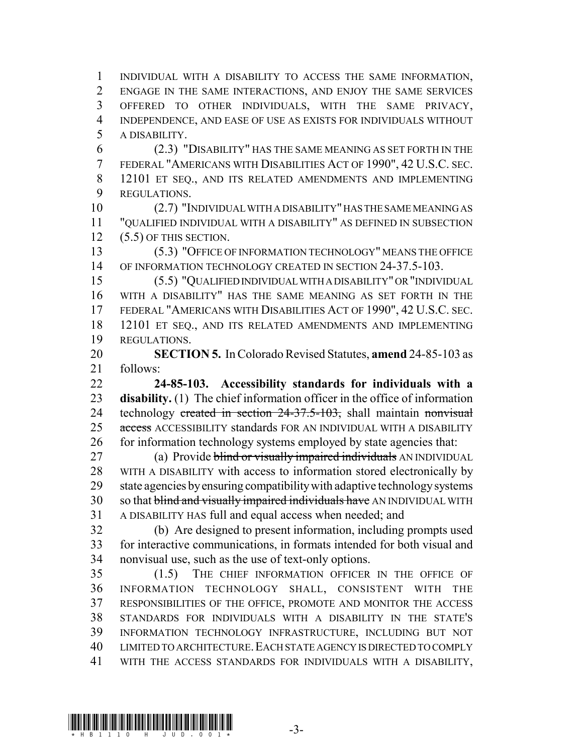INDIVIDUAL WITH A DISABILITY TO ACCESS THE SAME INFORMATION, ENGAGE IN THE SAME INTERACTIONS, AND ENJOY THE SAME SERVICES OFFERED TO OTHER INDIVIDUALS, WITH THE SAME PRIVACY, INDEPENDENCE, AND EASE OF USE AS EXISTS FOR INDIVIDUALS WITHOUT A DISABILITY.

 (2.3) "DISABILITY" HAS THE SAME MEANING AS SET FORTH IN THE FEDERAL "AMERICANS WITH DISABILITIES ACT OF 1990", 42 U.S.C. SEC. 12101 ET SEQ., AND ITS RELATED AMENDMENTS AND IMPLEMENTING REGULATIONS.

 (2.7) "INDIVIDUAL WITH A DISABILITY" HAS THE SAME MEANING AS "QUALIFIED INDIVIDUAL WITH A DISABILITY" AS DEFINED IN SUBSECTION 12 (5.5) OF THIS SECTION.

 (5.3) "OFFICE OF INFORMATION TECHNOLOGY" MEANS THE OFFICE 14 OF INFORMATION TECHNOLOGY CREATED IN SECTION 24-37.5-103.

 (5.5) "QUALIFIED INDIVIDUAL WITH A DISABILITY" OR "INDIVIDUAL WITH A DISABILITY" HAS THE SAME MEANING AS SET FORTH IN THE FEDERAL "AMERICANS WITH DISABILITIES ACT OF 1990", 42 U.S.C. SEC. 12101 ET SEQ., AND ITS RELATED AMENDMENTS AND IMPLEMENTING REGULATIONS.

 **SECTION 5.** In Colorado Revised Statutes, **amend** 24-85-103 as follows:

 **24-85-103. Accessibility standards for individuals with a disability.** (1) The chief information officer in the office of information 24 technology created in section 24-37.5-103, shall maintain nonvisual 25 access ACCESSIBILITY standards FOR AN INDIVIDUAL WITH A DISABILITY 26 for information technology systems employed by state agencies that:

27 (a) Provide blind or visually impaired individuals AN INDIVIDUAL WITH A DISABILITY with access to information stored electronically by state agencies by ensuring compatibility with adaptive technology systems 30 so that blind and visually impaired individuals have AN INDIVIDUAL WITH A DISABILITY HAS full and equal access when needed; and

 (b) Are designed to present information, including prompts used for interactive communications, in formats intended for both visual and nonvisual use, such as the use of text-only options.

 (1.5) THE CHIEF INFORMATION OFFICER IN THE OFFICE OF INFORMATION TECHNOLOGY SHALL, CONSISTENT WITH THE RESPONSIBILITIES OF THE OFFICE, PROMOTE AND MONITOR THE ACCESS STANDARDS FOR INDIVIDUALS WITH A DISABILITY IN THE STATE'S INFORMATION TECHNOLOGY INFRASTRUCTURE, INCLUDING BUT NOT LIMITED TO ARCHITECTURE.EACH STATE AGENCY IS DIRECTED TO COMPLY WITH THE ACCESS STANDARDS FOR INDIVIDUALS WITH A DISABILITY,

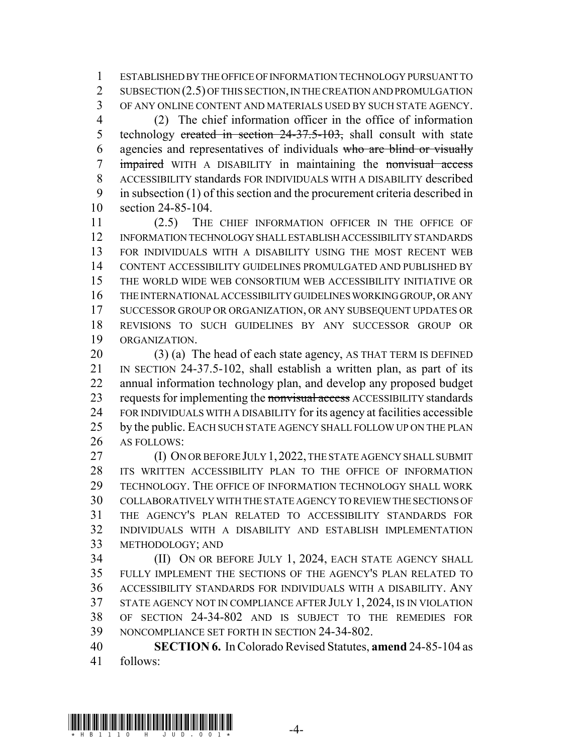ESTABLISHED BY THE OFFICE OF INFORMATION TECHNOLOGY PURSUANT TO 2 SUBSECTION (2.5) OF THIS SECTION, IN THE CREATION AND PROMULGATION OF ANY ONLINE CONTENT AND MATERIALS USED BY SUCH STATE AGENCY.

 (2) The chief information officer in the office of information 5 technology created in section 24-37.5-103, shall consult with state agencies and representatives of individuals who are blind or visually 7 impaired WITH A DISABILITY in maintaining the nonvisual access ACCESSIBILITY standards FOR INDIVIDUALS WITH A DISABILITY described in subsection (1) of this section and the procurement criteria described in section 24-85-104.

 (2.5) THE CHIEF INFORMATION OFFICER IN THE OFFICE OF INFORMATION TECHNOLOGY SHALL ESTABLISH ACCESSIBILITY STANDARDS FOR INDIVIDUALS WITH A DISABILITY USING THE MOST RECENT WEB CONTENT ACCESSIBILITY GUIDELINES PROMULGATED AND PUBLISHED BY THE WORLD WIDE WEB CONSORTIUM WEB ACCESSIBILITY INITIATIVE OR THE INTERNATIONAL ACCESSIBILITY GUIDELINES WORKING GROUP, OR ANY SUCCESSOR GROUP OR ORGANIZATION, OR ANY SUBSEQUENT UPDATES OR REVISIONS TO SUCH GUIDELINES BY ANY SUCCESSOR GROUP OR ORGANIZATION.

 (3) (a) The head of each state agency, AS THAT TERM IS DEFINED IN SECTION 24-37.5-102, shall establish a written plan, as part of its annual information technology plan, and develop any proposed budget 23 requests for implementing the nonvisual access ACCESSIBILITY standards FOR INDIVIDUALS WITH A DISABILITY for its agency at facilities accessible 25 by the public. EACH SUCH STATE AGENCY SHALL FOLLOW UP ON THE PLAN 26 AS FOLLOWS:

27 (I) ON OR BEFORE JULY 1, 2022, THE STATE AGENCY SHALL SUBMIT ITS WRITTEN ACCESSIBILITY PLAN TO THE OFFICE OF INFORMATION TECHNOLOGY. THE OFFICE OF INFORMATION TECHNOLOGY SHALL WORK COLLABORATIVELY WITH THE STATE AGENCY TO REVIEW THE SECTIONS OF THE AGENCY'S PLAN RELATED TO ACCESSIBILITY STANDARDS FOR INDIVIDUALS WITH A DISABILITY AND ESTABLISH IMPLEMENTATION METHODOLOGY; AND

 (II) ON OR BEFORE JULY 1, 2024, EACH STATE AGENCY SHALL FULLY IMPLEMENT THE SECTIONS OF THE AGENCY'S PLAN RELATED TO ACCESSIBILITY STANDARDS FOR INDIVIDUALS WITH A DISABILITY. ANY STATE AGENCY NOT IN COMPLIANCE AFTER JULY 1, 2024, IS IN VIOLATION OF SECTION 24-34-802 AND IS SUBJECT TO THE REMEDIES FOR NONCOMPLIANCE SET FORTH IN SECTION 24-34-802.

 **SECTION 6.** In Colorado Revised Statutes, **amend** 24-85-104 as follows: